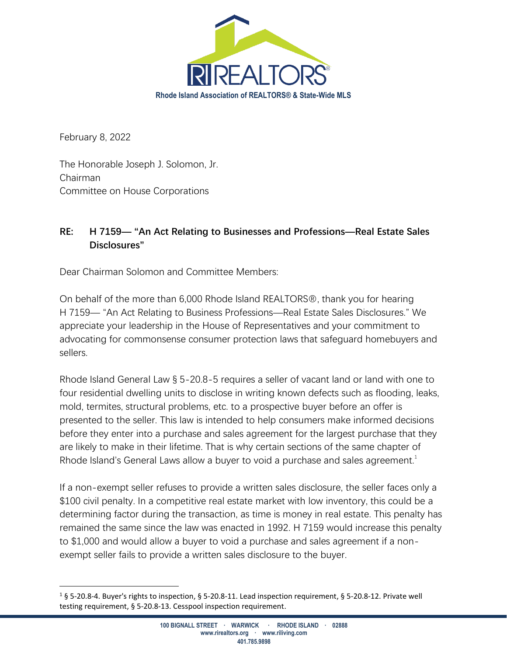

February 8, 2022

The Honorable Joseph J. Solomon, Jr. Chairman Committee on House Corporations

## **RE: H 7159— "An Act Relating to Businesses and Professions—Real Estate Sales Disclosures"**

Dear Chairman Solomon and Committee Members:

On behalf of the more than 6,000 Rhode Island REALTORS®, thank you for hearing H 7159— "An Act Relating to Business Professions—Real Estate Sales Disclosures." We appreciate your leadership in the House of Representatives and your commitment to advocating for commonsense consumer protection laws that safeguard homebuyers and sellers.

Rhode Island General Law § 5-20.8-5 requires a seller of vacant land or land with one to four residential dwelling units to disclose in writing known defects such as flooding, leaks, mold, termites, structural problems, etc. to a prospective buyer before an offer is presented to the seller. This law is intended to help consumers make informed decisions before they enter into a purchase and sales agreement for the largest purchase that they are likely to make in their lifetime. That is why certain sections of the same chapter of Rhode Island's General Laws allow a buyer to void a purchase and sales agreement.<sup>1</sup>

If a non-exempt seller refuses to provide a written sales disclosure, the seller faces only a \$100 civil penalty. In a competitive real estate market with low inventory, this could be a determining factor during the transaction, as time is money in real estate. This penalty has remained the same since the law was enacted in 1992. H 7159 would increase this penalty to \$1,000 and would allow a buyer to void a purchase and sales agreement if a nonexempt seller fails to provide a written sales disclosure to the buyer.

<sup>&</sup>lt;sup>1</sup> § 5-20.8-4. Buyer's rights to inspection, § 5-20.8-11. Lead inspection requirement, § 5-20.8-12. Private well testing requirement, § 5-20.8-13. Cesspool inspection requirement.